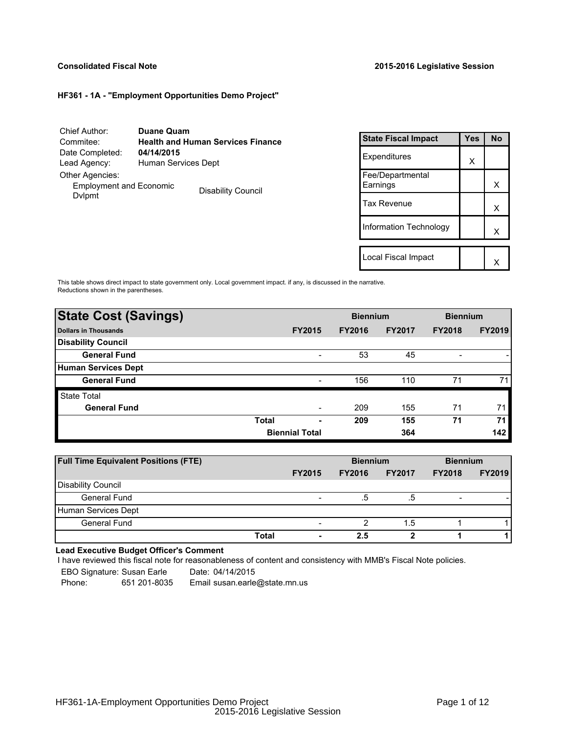## **Consolidated Fiscal Note 2015-2016 Legislative Session**

## **HF361 - 1A - "Employment Opportunities Demo Project"**

| Chief Author:                            | <b>Duane Quam</b>                        |
|------------------------------------------|------------------------------------------|
| Commitee:                                | <b>Health and Human Services Finance</b> |
| Date Completed:                          | 04/14/2015                               |
| Lead Agency:                             | Human Services Dept                      |
| Other Agencies:                          |                                          |
| <b>Employment and Economic</b><br>Dvlpmt | <b>Disability Council</b>                |

| <b>State Fiscal Impact</b>   | Yes | <b>No</b> |
|------------------------------|-----|-----------|
| Expenditures                 | X   |           |
| Fee/Departmental<br>Earnings |     | x         |
| Tax Revenue                  |     | x         |
| Information Technology       |     | x         |
| Local Fiscal Impact          |     |           |
|                              |     |           |

This table shows direct impact to state government only. Local government impact. if any, is discussed in the narrative. Reductions shown in the parentheses.

| <b>State Cost (Savings)</b> |                       |                          | <b>Biennium</b> |               | <b>Biennium</b> |               |
|-----------------------------|-----------------------|--------------------------|-----------------|---------------|-----------------|---------------|
| <b>Dollars in Thousands</b> |                       | <b>FY2015</b>            | <b>FY2016</b>   | <b>FY2017</b> | <b>FY2018</b>   | <b>FY2019</b> |
| <b>Disability Council</b>   |                       |                          |                 |               |                 |               |
| <b>General Fund</b>         |                       | $\overline{\phantom{a}}$ | 53              | 45            | -               |               |
| Human Services Dept         |                       |                          |                 |               |                 |               |
| <b>General Fund</b>         |                       | $\overline{\phantom{0}}$ | 156             | 110           | 71              | 71            |
| <b>State Total</b>          |                       |                          |                 |               |                 |               |
| <b>General Fund</b>         |                       | $\overline{\phantom{0}}$ | 209             | 155           | 71              | 71            |
|                             | <b>Total</b>          | ٠                        | 209             | 155           | 71              | 71            |
|                             | <b>Biennial Total</b> |                          |                 | 364           |                 | 142           |

| <b>Full Time Equivalent Positions (FTE)</b> |       |               | <b>Biennium</b> |               | <b>Biennium</b> |               |
|---------------------------------------------|-------|---------------|-----------------|---------------|-----------------|---------------|
|                                             |       | <b>FY2015</b> | <b>FY2016</b>   | <b>FY2017</b> | <b>FY2018</b>   | <b>FY2019</b> |
| Disability Council                          |       |               |                 |               |                 |               |
| General Fund                                |       |               | .5              | .b            |                 |               |
| Human Services Dept                         |       |               |                 |               |                 |               |
| General Fund                                |       |               |                 | 1.5           |                 |               |
|                                             | Total | ۰             | 2.5             |               |                 |               |

# **Lead Executive Budget Officer's Comment**

-

I have reviewed this fiscal note for reasonableness of content and consistency with MMB's Fiscal Note policies.

| EBO Signature: Susan Earle |              | Date: 04/14/2015              |
|----------------------------|--------------|-------------------------------|
| Phone:                     | 651 201-8035 | Email susan.earle@state.mn.us |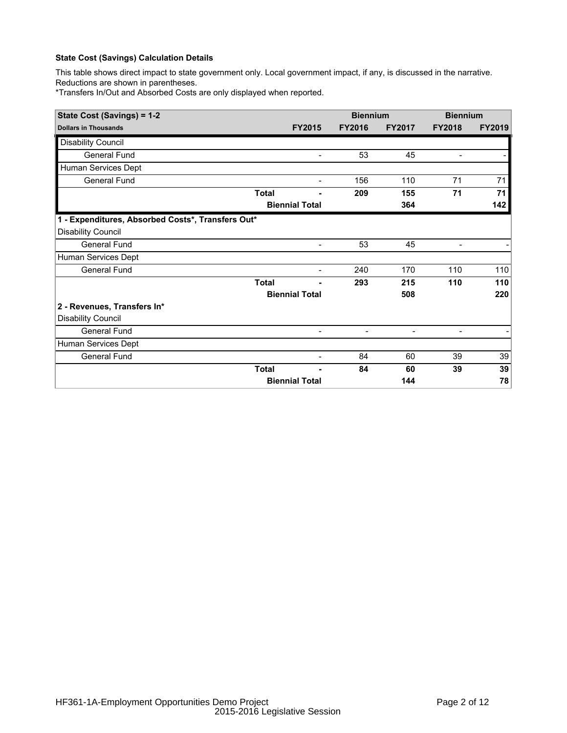This table shows direct impact to state government only. Local government impact, if any, is discussed in the narrative. Reductions are shown in parentheses.

\*Transfers In/Out and Absorbed Costs are only displayed when reported.

| State Cost (Savings) = 1-2                        |              |                          | <b>Biennium</b>          |                          | <b>Biennium</b>          |               |
|---------------------------------------------------|--------------|--------------------------|--------------------------|--------------------------|--------------------------|---------------|
| <b>Dollars in Thousands</b>                       |              | <b>FY2015</b>            | <b>FY2016</b>            | <b>FY2017</b>            | <b>FY2018</b>            | <b>FY2019</b> |
| <b>Disability Council</b>                         |              |                          |                          |                          |                          |               |
| <b>General Fund</b>                               |              | $\overline{\phantom{a}}$ | 53                       | 45                       | $\overline{\phantom{a}}$ |               |
| Human Services Dept                               |              |                          |                          |                          |                          |               |
| General Fund                                      |              | $\overline{\phantom{a}}$ | 156                      | 110                      | 71                       | 71            |
|                                                   | <b>Total</b> |                          | 209                      | 155                      | 71                       | 71            |
|                                                   |              | <b>Biennial Total</b>    |                          | 364                      |                          | 142           |
| 1 - Expenditures, Absorbed Costs*, Transfers Out* |              |                          |                          |                          |                          |               |
| <b>Disability Council</b>                         |              |                          |                          |                          |                          |               |
| <b>General Fund</b>                               |              | $\overline{\phantom{0}}$ | 53                       | 45                       | $\overline{\phantom{0}}$ |               |
| Human Services Dept                               |              |                          |                          |                          |                          |               |
| <b>General Fund</b>                               |              | $\overline{\phantom{a}}$ | 240                      | 170                      | 110                      | 110           |
|                                                   | <b>Total</b> |                          | 293                      | 215                      | 110                      | 110           |
|                                                   |              | <b>Biennial Total</b>    |                          | 508                      |                          | 220           |
| 2 - Revenues, Transfers In*                       |              |                          |                          |                          |                          |               |
| <b>Disability Council</b>                         |              |                          |                          |                          |                          |               |
| <b>General Fund</b>                               |              | $\overline{a}$           | $\overline{\phantom{a}}$ | $\overline{\phantom{a}}$ | -                        |               |
| Human Services Dept                               |              |                          |                          |                          |                          |               |
| General Fund                                      |              |                          | 84                       | 60                       | 39                       | 39            |
|                                                   | <b>Total</b> |                          | 84                       | 60                       | 39                       | 39            |
|                                                   |              | <b>Biennial Total</b>    |                          | 144                      |                          | 78            |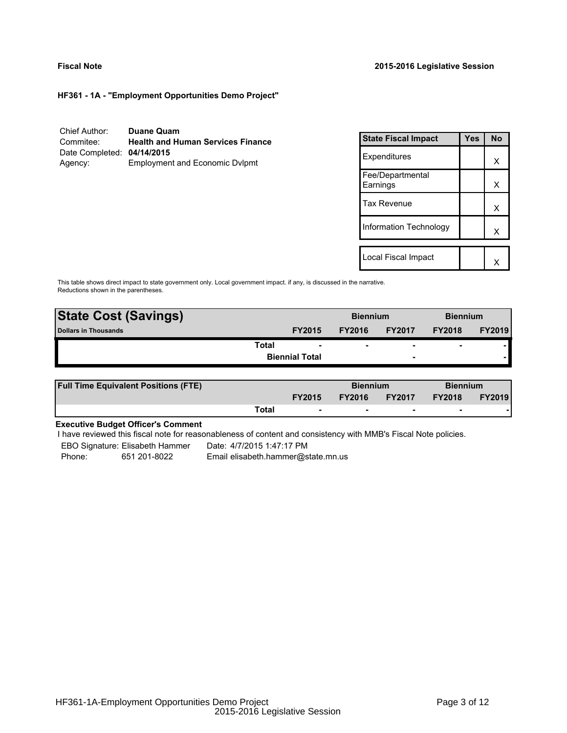### **Fiscal Note 2015-2016 Legislative Session**

**HF361 - 1A - "Employment Opportunities Demo Project"**

| Chief Author:              | <b>Duane Quam</b>                        |
|----------------------------|------------------------------------------|
| Commitee:                  | <b>Health and Human Services Finance</b> |
| Date Completed: 04/14/2015 |                                          |
| Agency:                    | <b>Employment and Economic Dvlpmt</b>    |

| <b>State Fiscal Impact</b>   | Yes | <b>No</b> |
|------------------------------|-----|-----------|
| Expenditures                 |     | x         |
| Fee/Departmental<br>Earnings |     | x         |
| <b>Tax Revenue</b>           |     | x         |
| Information Technology       |     | x         |
| Local Fiscal Impact          |     |           |

This table shows direct impact to state government only. Local government impact. if any, is discussed in the narrative. Reductions shown in the parentheses.

| <b>State Cost (Savings)</b> |                       | <b>Biennium</b> |                          | <b>Biennium</b>          |               |
|-----------------------------|-----------------------|-----------------|--------------------------|--------------------------|---------------|
| <b>Dollars in Thousands</b> | <b>FY2015</b>         | <b>FY2016</b>   | <b>FY2017</b>            | <b>FY2018</b>            | <b>FY2019</b> |
| Total                       | ۰                     | ۰               | $\overline{\phantom{0}}$ | $\overline{\phantom{0}}$ |               |
|                             | <b>Biennial Total</b> |                 | $\overline{\phantom{a}}$ |                          |               |
|                             |                       |                 |                          |                          |               |

| <b>Full Time Equivalent Positions (FTE)</b> |       |                          | <b>Biennium</b> |                          | <b>Biennium</b> |               |
|---------------------------------------------|-------|--------------------------|-----------------|--------------------------|-----------------|---------------|
|                                             |       | <b>FY2015</b>            | <b>FY2016</b>   | <b>FY2017</b>            | <b>FY2018</b>   | <b>FY2019</b> |
|                                             | Total | $\overline{\phantom{a}}$ | $\sim$          | $\overline{\phantom{a}}$ | $\sim$          |               |

## **Executive Budget Officer's Comment**

I have reviewed this fiscal note for reasonableness of content and consistency with MMB's Fiscal Note policies.

EBO Signature: Elisabeth Hammer Date: 4/7/2015 1:47:17 PM Phone: 651 201-8022 Email elisabeth.hammer@state.mn.us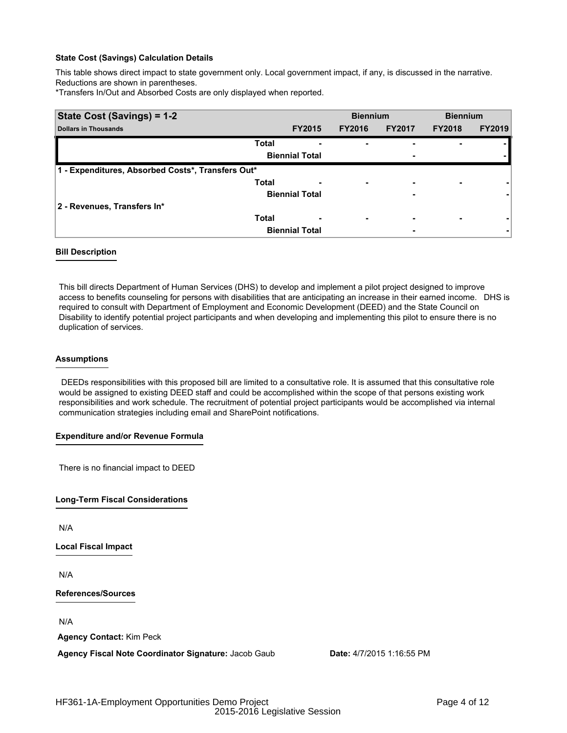This table shows direct impact to state government only. Local government impact, if any, is discussed in the narrative. Reductions are shown in parentheses.

\*Transfers In/Out and Absorbed Costs are only displayed when reported.

| State Cost (Savings) = 1-2                        |                       | <b>Biennium</b>               |               | <b>Biennium</b> |               |
|---------------------------------------------------|-----------------------|-------------------------------|---------------|-----------------|---------------|
| <b>Dollars in Thousands</b>                       | <b>FY2015</b>         | <b>FY2016</b>                 | <b>FY2017</b> | <b>FY2018</b>   | <b>FY2019</b> |
| <b>Total</b>                                      |                       | -<br>۰                        |               |                 |               |
|                                                   | <b>Biennial Total</b> |                               | ٠             |                 |               |
| 1 - Expenditures, Absorbed Costs*, Transfers Out* |                       |                               |               |                 |               |
| <b>Total</b>                                      |                       | ۰                             | -             |                 |               |
|                                                   | <b>Biennial Total</b> |                               | ۰             |                 |               |
| 2 - Revenues, Transfers In*                       |                       |                               |               |                 |               |
| <b>Total</b>                                      |                       | ٠<br>$\overline{\phantom{0}}$ | ٠             | ۰               |               |
|                                                   | <b>Biennial Total</b> |                               |               |                 |               |

#### **Bill Description**

This bill directs Department of Human Services (DHS) to develop and implement a pilot project designed to improve access to benefits counseling for persons with disabilities that are anticipating an increase in their earned income. DHS is required to consult with Department of Employment and Economic Development (DEED) and the State Council on Disability to identify potential project participants and when developing and implementing this pilot to ensure there is no duplication of services.

#### **Assumptions**

DEEDs responsibilities with this proposed bill are limited to a consultative role. It is assumed that this consultative role would be assigned to existing DEED staff and could be accomplished within the scope of that persons existing work responsibilities and work schedule. The recruitment of potential project participants would be accomplished via internal communication strategies including email and SharePoint notifications.

#### **Expenditure and/or Revenue Formula**

There is no financial impact to DEED

#### **Long-Term Fiscal Considerations**

N/A

**Local Fiscal Impact**

N/A

**References/Sources**

N/A

**Agency Contact:** Kim Peck

**Agency Fiscal Note Coordinator Signature:** Jacob Gaub **Date:** 4/7/2015 1:16:55 PM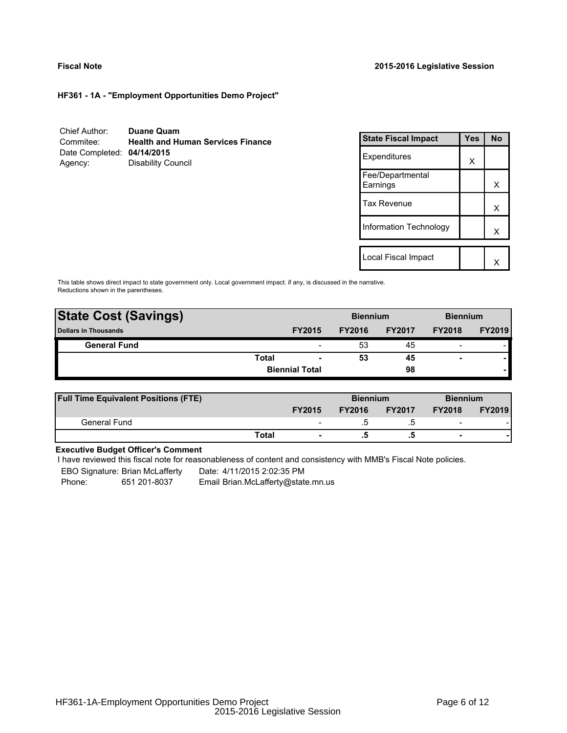### **Fiscal Note 2015-2016 Legislative Session**

**HF361 - 1A - "Employment Opportunities Demo Project"**

| Chief Author:              | <b>Duane Quam</b>                        |
|----------------------------|------------------------------------------|
| Commitee:                  | <b>Health and Human Services Finance</b> |
| Date Completed: 04/14/2015 |                                          |
| Agency:                    | Disability Council                       |

| <b>State Fiscal Impact</b>   | Yes | N٥ |
|------------------------------|-----|----|
| Expenditures                 | X   |    |
| Fee/Departmental<br>Earnings |     | x  |
| <b>Tax Revenue</b>           |     | x  |
| Information Technology       |     | x  |
|                              |     |    |
| Local Fiscal Impact          |     |    |

This table shows direct impact to state government only. Local government impact. if any, is discussed in the narrative. Reductions shown in the parentheses.

| <b>State Cost (Savings)</b> |                       | <b>Biennium</b>          |               |               | <b>Biennium</b>          |               |
|-----------------------------|-----------------------|--------------------------|---------------|---------------|--------------------------|---------------|
| <b>Dollars in Thousands</b> |                       | <b>FY2015</b>            | <b>FY2016</b> | <b>FY2017</b> | <b>FY2018</b>            | <b>FY2019</b> |
| <b>General Fund</b>         |                       |                          | 53            | 45            | $\overline{\phantom{0}}$ |               |
|                             | <b>Total</b>          | $\overline{\phantom{0}}$ | 53            | 45            |                          |               |
|                             | <b>Biennial Total</b> |                          |               | 98            |                          |               |
|                             |                       |                          |               |               |                          |               |

| <b>Full Time Equivalent Positions (FTE)</b> |       |                          | <b>Biennium</b> |               |                          | <b>Biennium</b> |  |
|---------------------------------------------|-------|--------------------------|-----------------|---------------|--------------------------|-----------------|--|
|                                             |       | <b>FY2015</b>            | <b>FY2016</b>   | <b>FY2017</b> | <b>FY2018</b>            | <b>FY2019</b>   |  |
| General Fund                                |       | $\overline{\phantom{0}}$ |                 |               | $\overline{\phantom{0}}$ |                 |  |
|                                             | Total | $\blacksquare$           |                 |               | $\overline{\phantom{a}}$ |                 |  |

# **Executive Budget Officer's Comment**

I have reviewed this fiscal note for reasonableness of content and consistency with MMB's Fiscal Note policies.

EBO Signature: Brian McLafferty Date: 4/11/2015 2:02:35 PM

Phone: 651 201-8037 Email Brian.McLafferty@state.mn.us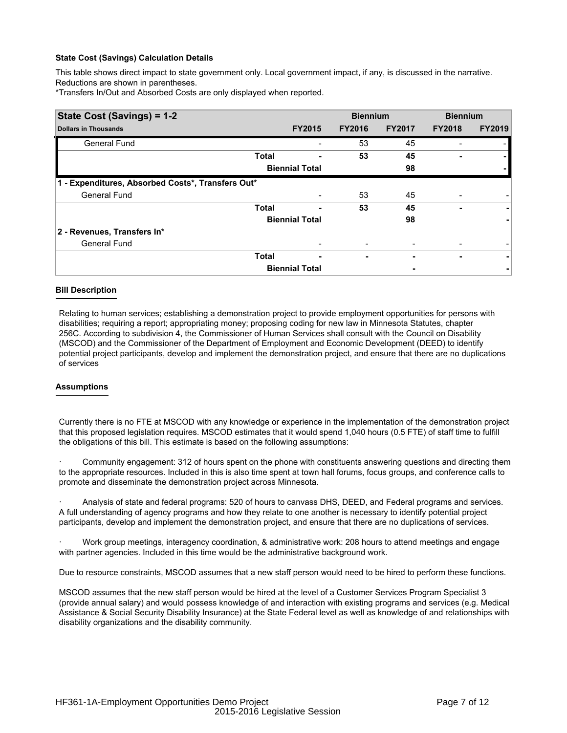This table shows direct impact to state government only. Local government impact, if any, is discussed in the narrative. Reductions are shown in parentheses.

\*Transfers In/Out and Absorbed Costs are only displayed when reported.

| State Cost (Savings) = 1-2                        |              |                       | <b>Biennium</b> |               | <b>Biennium</b> |               |
|---------------------------------------------------|--------------|-----------------------|-----------------|---------------|-----------------|---------------|
| <b>Dollars in Thousands</b>                       |              | <b>FY2015</b>         | <b>FY2016</b>   | <b>FY2017</b> | <b>FY2018</b>   | <b>FY2019</b> |
| General Fund                                      |              |                       | 53              | 45            |                 |               |
|                                                   | <b>Total</b> |                       | 53              | 45            |                 |               |
|                                                   |              | <b>Biennial Total</b> |                 | 98            |                 |               |
| 1 - Expenditures, Absorbed Costs*, Transfers Out* |              |                       |                 |               |                 |               |
| <b>General Fund</b>                               |              |                       | 53              | 45            |                 |               |
|                                                   | <b>Total</b> |                       | 53              | 45            |                 | ۰.            |
|                                                   |              | <b>Biennial Total</b> |                 | 98            |                 |               |
| 2 - Revenues, Transfers In*                       |              |                       |                 |               |                 |               |
| <b>General Fund</b>                               |              |                       |                 |               |                 |               |
|                                                   | <b>Total</b> |                       | ۰               |               | ۰               | ۰             |
|                                                   |              | <b>Biennial Total</b> |                 |               |                 |               |

#### **Bill Description**

Relating to human services; establishing a demonstration project to provide employment opportunities for persons with disabilities; requiring a report; appropriating money; proposing coding for new law in Minnesota Statutes, chapter 256C. According to subdivision 4, the Commissioner of Human Services shall consult with the Council on Disability (MSCOD) and the Commissioner of the Department of Employment and Economic Development (DEED) to identify potential project participants, develop and implement the demonstration project, and ensure that there are no duplications of services

## **Assumptions**

Currently there is no FTE at MSCOD with any knowledge or experience in the implementation of the demonstration project that this proposed legislation requires. MSCOD estimates that it would spend 1,040 hours (0.5 FTE) of staff time to fulfill the obligations of this bill. This estimate is based on the following assumptions:

Community engagement: 312 of hours spent on the phone with constituents answering questions and directing them to the appropriate resources. Included in this is also time spent at town hall forums, focus groups, and conference calls to promote and disseminate the demonstration project across Minnesota.

· Analysis of state and federal programs: 520 of hours to canvass DHS, DEED, and Federal programs and services. A full understanding of agency programs and how they relate to one another is necessary to identify potential project participants, develop and implement the demonstration project, and ensure that there are no duplications of services.

Work group meetings, interagency coordination, & administrative work: 208 hours to attend meetings and engage with partner agencies. Included in this time would be the administrative background work.

Due to resource constraints, MSCOD assumes that a new staff person would need to be hired to perform these functions.

MSCOD assumes that the new staff person would be hired at the level of a Customer Services Program Specialist 3 (provide annual salary) and would possess knowledge of and interaction with existing programs and services (e.g. Medical Assistance & Social Security Disability Insurance) at the State Federal level as well as knowledge of and relationships with disability organizations and the disability community.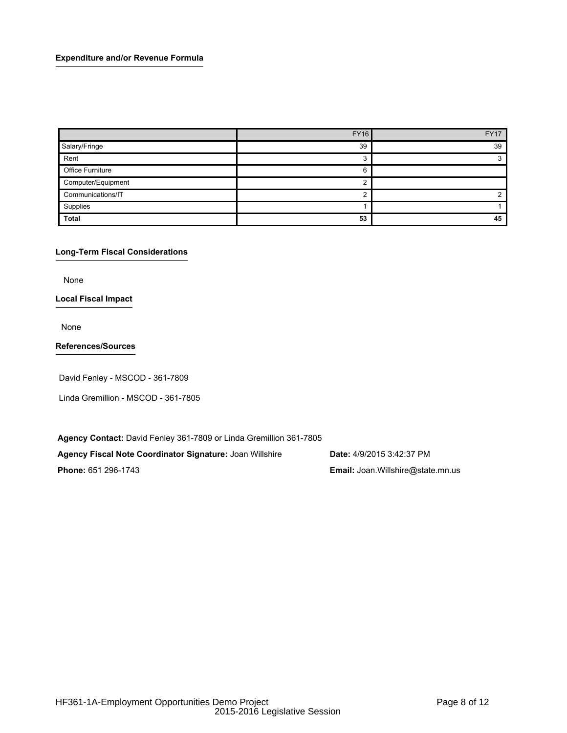## **Expenditure and/or Revenue Formula**

|                         | <b>FY16</b> | <b>FY17</b> |
|-------------------------|-------------|-------------|
| Salary/Fringe           | 39          | 39          |
| Rent                    |             |             |
| <b>Office Furniture</b> | h           |             |
| Computer/Equipment      |             |             |
| Communications/IT       |             |             |
| Supplies                |             |             |
| <b>Total</b>            | 53          | 45          |

## **Long-Term Fiscal Considerations**

None

## **Local Fiscal Impact**

None

# **References/Sources**

David Fenley - MSCOD - 361-7809

Linda Gremillion - MSCOD - 361-7805

**Agency Contact:** David Fenley 361-7809 or Linda Gremillion 361-7805

**Agency Fiscal Note Coordinator Signature:** Joan Willshire **Date:** 4/9/2015 3:42:37 PM

**Phone:** 651 296-1743 **Email:** Joan.Willshire@state.mn.us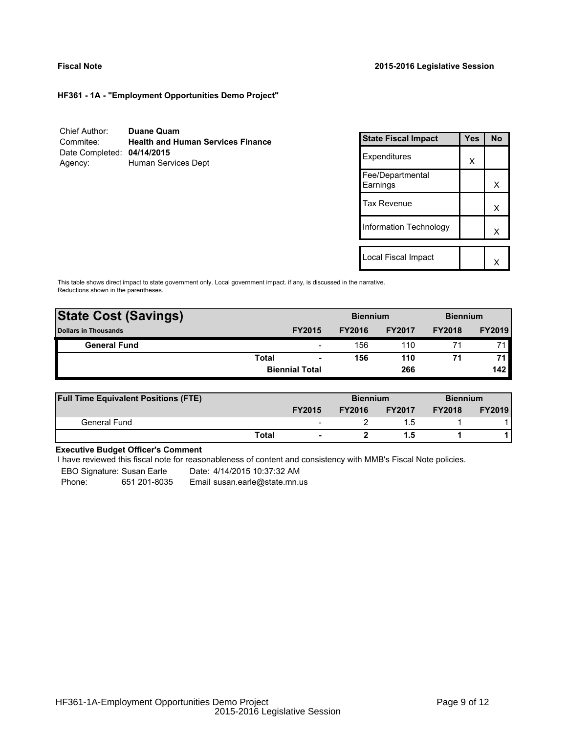**HF361 - 1A - "Employment Opportunities Demo Project"**

| Chief Author:              | <b>Duane Quam</b>                        |
|----------------------------|------------------------------------------|
| Commitee:                  | <b>Health and Human Services Finance</b> |
| Date Completed: 04/14/2015 |                                          |
| Agency:                    | Human Services Dept                      |

| <b>State Fiscal Impact</b>    | Yes | <b>No</b> |
|-------------------------------|-----|-----------|
| Expenditures                  | X   |           |
| Fee/Departmental<br>Earnings  |     | x         |
| <b>Tax Revenue</b>            |     | x         |
| <b>Information Technology</b> |     | x         |
|                               |     |           |
| Local Fiscal Impact           |     |           |

This table shows direct impact to state government only. Local government impact. if any, is discussed in the narrative. Reductions shown in the parentheses.

| <b>State Cost (Savings)</b> |                       |                          | <b>Biennium</b> |               | <b>Biennium</b> |               |
|-----------------------------|-----------------------|--------------------------|-----------------|---------------|-----------------|---------------|
| <b>Dollars in Thousands</b> |                       | <b>FY2015</b>            | <b>FY2016</b>   | <b>FY2017</b> | <b>FY2018</b>   | <b>FY2019</b> |
| <b>General Fund</b>         |                       | $\overline{\phantom{a}}$ | 156             | 110           |                 | 71            |
|                             | <b>Total</b>          | $\blacksquare$           | 156             | 110           | 71              | 71.           |
|                             | <b>Biennial Total</b> |                          |                 | 266           |                 | 142           |
|                             |                       |                          |                 |               |                 |               |

| <b>Full Time Equivalent Positions (FTE)</b> |       |                          | <b>Biennium</b> |               | <b>Biennium</b> |               |
|---------------------------------------------|-------|--------------------------|-----------------|---------------|-----------------|---------------|
|                                             |       | <b>FY2015</b>            | <b>FY2016</b>   | <b>FY2017</b> | <b>FY2018</b>   | <b>FY2019</b> |
| General Fund                                |       | $\overline{\phantom{0}}$ |                 |               |                 |               |
|                                             | Total | $\blacksquare$           |                 |               |                 |               |

# **Executive Budget Officer's Comment**

I have reviewed this fiscal note for reasonableness of content and consistency with MMB's Fiscal Note policies.

EBO Signature: Susan Earle Date: 4/14/2015 10:37:32 AM

Phone: 651 201-8035 Email susan.earle@state.mn.us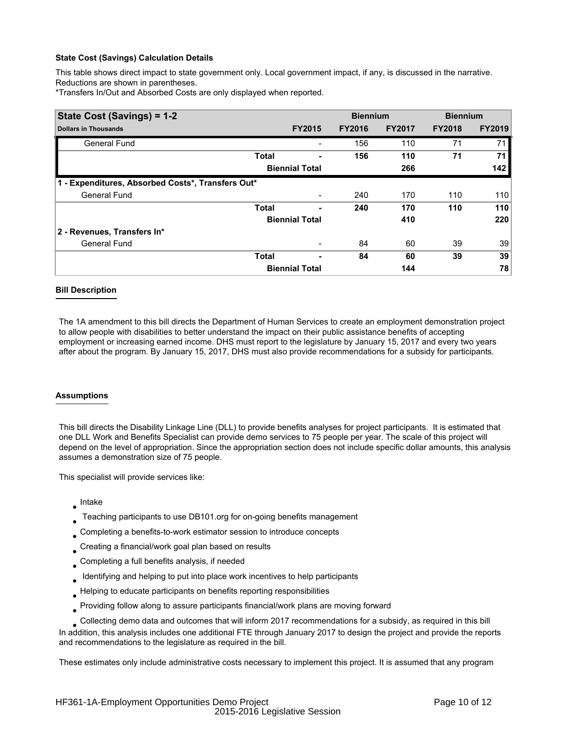This table shows direct impact to state government only. Local government impact, if any, is discussed in the narrative. Reductions are shown in parentheses.

\*Transfers In/Out and Absorbed Costs are only displayed when reported.

| State Cost (Savings) = 1-2                        |              |                          | <b>Biennium</b> |               | <b>Biennium</b> |               |
|---------------------------------------------------|--------------|--------------------------|-----------------|---------------|-----------------|---------------|
| <b>Dollars in Thousands</b>                       |              | <b>FY2015</b>            | <b>FY2016</b>   | <b>FY2017</b> | <b>FY2018</b>   | <b>FY2019</b> |
| <b>General Fund</b>                               |              |                          | 156             | 110           | 71              | 71            |
|                                                   | <b>Total</b> |                          | 156             | 110           | 71              | 71            |
|                                                   |              | <b>Biennial Total</b>    |                 | 266           |                 | 142           |
| 1 - Expenditures, Absorbed Costs*, Transfers Out* |              |                          |                 |               |                 |               |
| <b>General Fund</b>                               |              |                          | 240             | 170           | 110             | 110           |
|                                                   | <b>Total</b> | ۰                        | 240             | 170           | 110             | 110           |
|                                                   |              | <b>Biennial Total</b>    |                 | 410           |                 | 220           |
| 2 - Revenues, Transfers In*                       |              |                          |                 |               |                 |               |
| <b>General Fund</b>                               |              | $\overline{\phantom{a}}$ | 84              | 60            | 39              | 39            |
|                                                   | <b>Total</b> |                          | 84              | 60            | 39              | 39            |
|                                                   |              | <b>Biennial Total</b>    |                 | 144           |                 | 78            |

#### **Bill Description**

The 1A amendment to this bill directs the Department of Human Services to create an employment demonstration project to allow people with disabilities to better understand the impact on their public assistance benefits of accepting employment or increasing earned income. DHS must report to the legislature by January 15, 2017 and every two years after about the program. By January 15, 2017, DHS must also provide recommendations for a subsidy for participants.

#### **Assumptions**

This bill directs the Disability Linkage Line (DLL) to provide benefits analyses for project participants. It is estimated that one DLL Work and Benefits Specialist can provide demo services to 75 people per year. The scale of this project will depend on the level of appropriation. Since the appropriation section does not include specific dollar amounts, this analysis assumes a demonstration size of 75 people.

This specialist will provide services like:

- Intake
- Teaching participants to use DB101.org for on-going benefits management ●
- Completing a benefits-to-work estimator session to introduce concepts ●
- Creating a financial/work goal plan based on results ●
- Completing a full benefits analysis, if needed ●
- Identifying and helping to put into place work incentives to help participants ●
- Helping to educate participants on benefits reporting responsibilities ●
- Providing follow along to assure participants financial/work plans are moving forward ●
- Collecting demo data and outcomes that will inform 2017 recommendations for a subsidy, as required in this bill

In addition, this analysis includes one additional FTE through January 2017 to design the project and provide the reports and recommendations to the legislature as required in the bill.

These estimates only include administrative costs necessary to implement this project. It is assumed that any program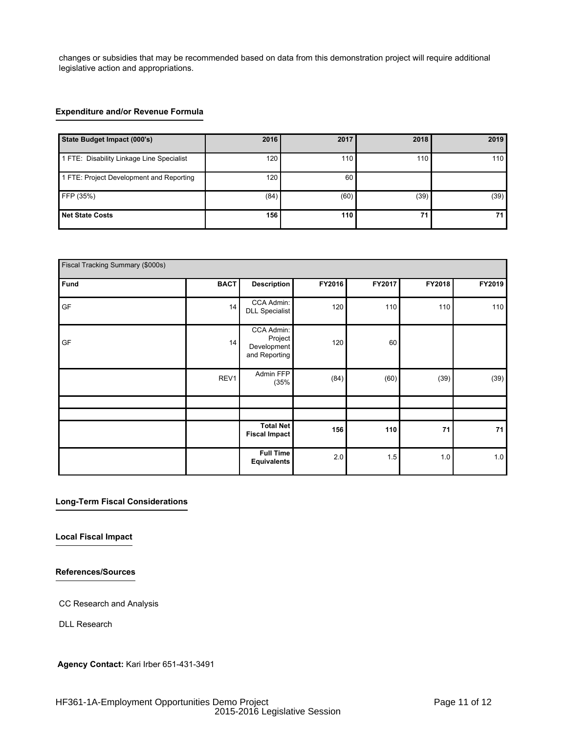changes or subsidies that may be recommended based on data from this demonstration project will require additional legislative action and appropriations.

# **Expenditure and/or Revenue Formula**

| State Budget Impact (000's)               | <b>2016</b>      | 2017 | 2018 | 2019 |
|-------------------------------------------|------------------|------|------|------|
| 1 FTE: Disability Linkage Line Specialist | 120 <sub>l</sub> | 110  | 110  | 110  |
| 1 FTE: Project Development and Reporting  | 120              | 60   |      |      |
| FFP (35%)                                 | (84)             | (60) | (39) | (39) |
| <b>Net State Costs</b>                    | 156              | 110  | 71   | 71   |

| Fiscal Tracking Summary (\$000s) |             |                                                       |        |        |        |            |  |  |  |
|----------------------------------|-------------|-------------------------------------------------------|--------|--------|--------|------------|--|--|--|
| Fund                             | <b>BACT</b> | <b>Description</b>                                    | FY2016 | FY2017 | FY2018 | FY2019     |  |  |  |
| GF                               | 14          | CCA Admin:<br>DLL Specialist                          | 120    | 110    | 110    | 110        |  |  |  |
| GF                               | 14          | CCA Admin:<br>Project<br>Development<br>and Reporting | 120    | 60     |        |            |  |  |  |
|                                  | REV1        | Admin FFP<br>(35%                                     | (84)   | (60)   | (39)   | (39)       |  |  |  |
|                                  |             |                                                       |        |        |        |            |  |  |  |
|                                  |             |                                                       |        |        |        |            |  |  |  |
|                                  |             | <b>Total Net</b><br><b>Fiscal Impact</b>              | 156    | 110    | 71     | ${\bf 71}$ |  |  |  |
|                                  |             | <b>Full Time</b><br><b>Equivalents</b>                | 2.0    | 1.5    | 1.0    | 1.0        |  |  |  |

## **Long-Term Fiscal Considerations**

**Local Fiscal Impact**

**References/Sources**

CC Research and Analysis

DLL Research

**Agency Contact:** Kari Irber 651-431-3491